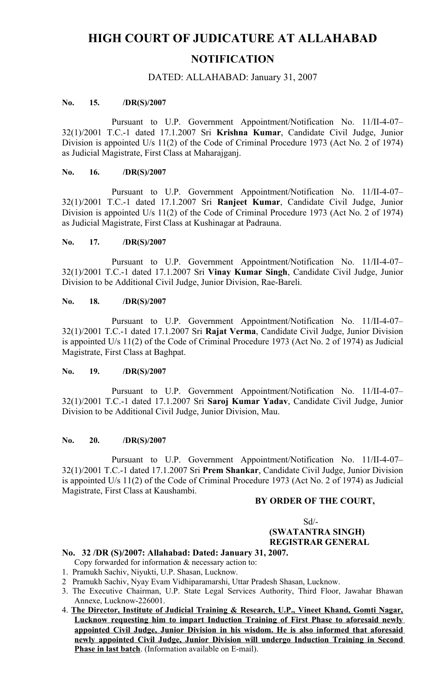# **HIGH COURT OF JUDICATURE AT ALLAHABAD NOTIFICATION**

## DATED: ALLAHABAD: January 31, 2007

## **No. 15. /DR(S)/2007**

Pursuant to U.P. Government Appointment/Notification No. 11/II-4-07– 32(1)/2001 T.C.-1 dated 17.1.2007 Sri **Krishna Kumar**, Candidate Civil Judge, Junior Division is appointed U/s 11(2) of the Code of Criminal Procedure 1973 (Act No. 2 of 1974) as Judicial Magistrate, First Class at Maharajganj.

#### **No. 16. /DR(S)/2007**

Pursuant to U.P. Government Appointment/Notification No. 11/II-4-07– 32(1)/2001 T.C.-1 dated 17.1.2007 Sri **Ranjeet Kumar**, Candidate Civil Judge, Junior Division is appointed U/s 11(2) of the Code of Criminal Procedure 1973 (Act No. 2 of 1974) as Judicial Magistrate, First Class at Kushinagar at Padrauna.

#### **No. 17. /DR(S)/2007**

Pursuant to U.P. Government Appointment/Notification No. 11/II-4-07– 32(1)/2001 T.C.-1 dated 17.1.2007 Sri **Vinay Kumar Singh**, Candidate Civil Judge, Junior Division to be Additional Civil Judge, Junior Division, Rae-Bareli.

## **No. 18. /DR(S)/2007**

Pursuant to U.P. Government Appointment/Notification No. 11/II-4-07– 32(1)/2001 T.C.-1 dated 17.1.2007 Sri **Rajat Verma**, Candidate Civil Judge, Junior Division is appointed U/s 11(2) of the Code of Criminal Procedure 1973 (Act No. 2 of 1974) as Judicial Magistrate, First Class at Baghpat.

#### **No. 19. /DR(S)/2007**

Pursuant to U.P. Government Appointment/Notification No. 11/II-4-07– 32(1)/2001 T.C.-1 dated 17.1.2007 Sri **Saroj Kumar Yadav**, Candidate Civil Judge, Junior Division to be Additional Civil Judge, Junior Division, Mau.

#### **No. 20. /DR(S)/2007**

Pursuant to U.P. Government Appointment/Notification No. 11/II-4-07– 32(1)/2001 T.C.-1 dated 17.1.2007 Sri **Prem Shankar**, Candidate Civil Judge, Junior Division is appointed U/s 11(2) of the Code of Criminal Procedure 1973 (Act No. 2 of 1974) as Judicial Magistrate, First Class at Kaushambi.

### **BY ORDER OF THE COURT,**

# $Sd$ <sup>-</sup>  **(SWATANTRA SINGH) REGISTRAR GENERAL**

# **No. 32 /DR (S)/2007: Allahabad: Dated: January 31, 2007.**

- Copy forwarded for information & necessary action to:
- 1. Pramukh Sachiv, Niyukti, U.P. Shasan, Lucknow.
- 2 Pramukh Sachiv, Nyay Evam Vidhiparamarshi, Uttar Pradesh Shasan, Lucknow.
- 3. The Executive Chairman, U.P. State Legal Services Authority, Third Floor, Jawahar Bhawan Annexe, Lucknow-226001.
- 4. **The Director, Institute of Judicial Training & Research, U.P., Vineet Khand, Gomti Nagar, Lucknow requesting him to impart Induction Training of First Phase to aforesaid newly appointed** Civil Judge, Junior Division in his wisdom. He is also informed that aforesaid **newly appointed Civil Judge, Junior Division will undergo Induction Training in Second Phase in last batch**. (Information available on E-mail).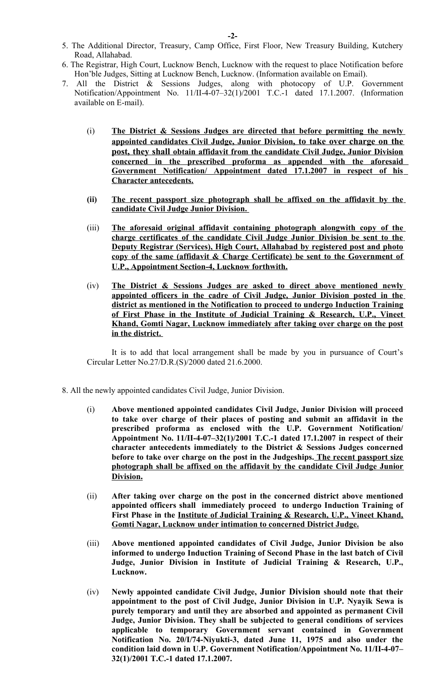- 5. The Additional Director, Treasury, Camp Office, First Floor, New Treasury Building, Kutchery Road, Allahabad.
- 6. The Registrar, High Court, Lucknow Bench, Lucknow with the request to place Notification before Hon'ble Judges, Sitting at Lucknow Bench, Lucknow. (Information available on Email).
- 7. All the District & Sessions Judges, along with photocopy of U.P. Government Notification/Appointment No. 11/II-4-07–32(1)/2001 T.C.-1 dated 17.1.2007. (Information available on E-mail).
	- (i) **The District & Sessions Judges are directed that before permitting the newly ap pointed candidates Civil Judge, Junior Division, to take over charge on the p ost, they shall ob tain affidavit from the candidate Civil Judge, Junior Division concerned in the prescribed proforma as appended with the aforesaid Government Notification/ Appointment dated 17.1.2007 in respect of his Character antecedents.**
	- **(ii)** The recent passport size photograph shall be affixed on the affidavit by the **candidate Civil Judge Junior Division.**
	- (iii) The aforesaid original affidavit containing photograph alongwith copy of the **charge certificates of the candidate Civil Judge Junior Division be sent to the Deputy Registrar (Services), High Court, Allahabad by registered post and photo copy of the same (affidavit & Charge Certificate) be sent to the Government of U.P., Appointment Section-4, Lucknow forthwith.**
	- (iv) The District & Sessions Judges are asked to direct above mentioned newly **appointed officers in the cadre of Civil Judge, Junior Division posted in the district as mentioned in the Notification to proceed to undergo Induction Training of First Phase in the Institute of Judicial Training & Research, U.P., Vineet Khand, Gomti Nagar, Lucknow immediately after taking over charge on the post in the district.**

It is to add that local arrangement shall be made by you in pursuance of Court's Circular Letter No.27/D.R.(S)/2000 dated 21.6.2000.

- 8. All the newly appointed candidates Civil Judge, Junior Division.
	- (i) **Above mentioned appointed candidates Civil Judge, Junior Division will proceed to take over charge of their places of posting and submit an affidavit in the prescribed proforma as enclosed with the U.P. Government Notification/ Appointment No. 11/II-4-07–32(1)/2001 T.C.-1 dated 17.1.2007 in respect of their character antecedents immediately to the District & Sessions Judges concerned before to take over charge on the post in the Judgeships. The recent passport size photograph shall be affixed on the affidavit by the candidate Civil Judge Junior D ivision.**
	- (ii) **After taking over charge on the post in the concerned district above mentioned appointed officers shall immediately proceed to undergo Induction Training of First Phase in the Institute of Judicial Training & Research, U.P., Vineet Khand, Gomti Nagar, Lucknow under intimation to concerned District Judge.**
	- (iii) **Above mentioned appointed candidates of Civil Judge, Junior Division be also informed to undergo Induction Training of Second Phase in the last batch of Civil Judge, Junior Division in Institute of Judicial Training & Research, U.P., Lucknow.**
	- (iv) **Newly appointed candidate Civil Judge, Junior Division should note that their appointment to the post of Civil Judge, Junior Division in U.P. Nyayik Sewa is purely temporary and until they are absorbed and appointed as permanent Civil Judge, Junior Division. They shall be subjected to general conditions of services applicable to temporary Government servant contained in Government Notification No. 20/I/74-Niyukti-3, dated June 11, 1975 and also under the condition laid down in U.P. Government Notification/Appointment No. 11/II-4-07– 32(1)/2001 T.C.-1 dated 17.1.2007.**